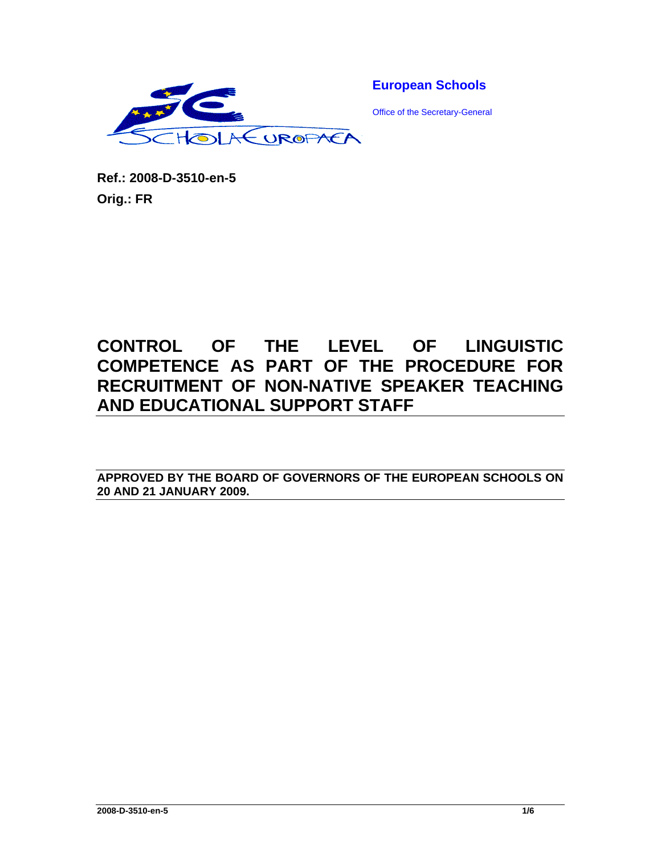

**European Schools** 

Office of the Secretary-General

**Ref.: 2008-D-3510-en-5 Orig.: FR** 

# **CONTROL OF THE LEVEL OF LINGUISTIC COMPETENCE AS PART OF THE PROCEDURE FOR RECRUITMENT OF NON-NATIVE SPEAKER TEACHING AND EDUCATIONAL SUPPORT STAFF**

**APPROVED BY THE BOARD OF GOVERNORS OF THE EUROPEAN SCHOOLS ON 20 AND 21 JANUARY 2009.**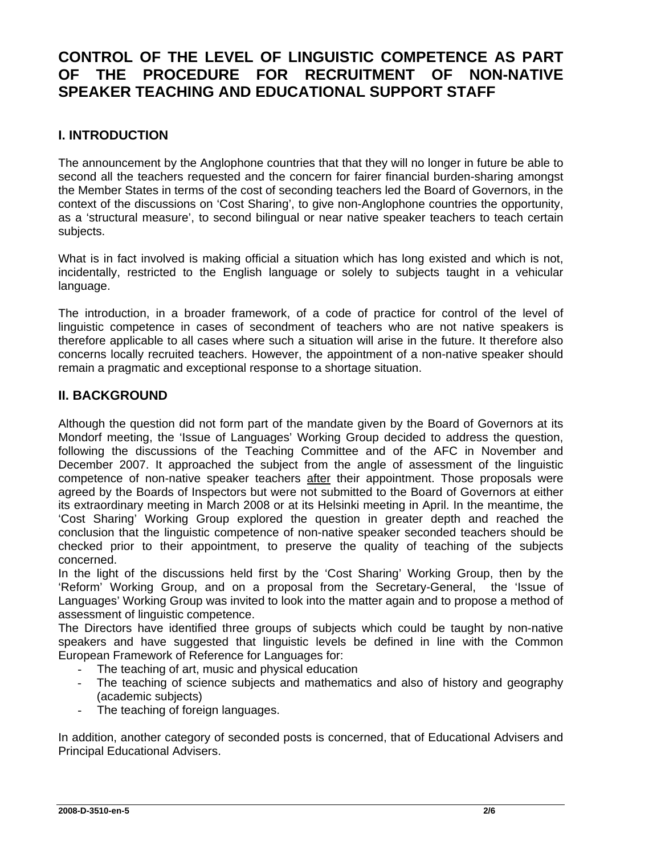# **CONTROL OF THE LEVEL OF LINGUISTIC COMPETENCE AS PART OF THE PROCEDURE FOR RECRUITMENT OF NON-NATIVE SPEAKER TEACHING AND EDUCATIONAL SUPPORT STAFF**

## **I. INTRODUCTION**

The announcement by the Anglophone countries that that they will no longer in future be able to second all the teachers requested and the concern for fairer financial burden-sharing amongst the Member States in terms of the cost of seconding teachers led the Board of Governors, in the context of the discussions on 'Cost Sharing', to give non-Anglophone countries the opportunity, as a 'structural measure', to second bilingual or near native speaker teachers to teach certain subjects.

What is in fact involved is making official a situation which has long existed and which is not, incidentally, restricted to the English language or solely to subjects taught in a vehicular language.

The introduction, in a broader framework, of a code of practice for control of the level of linguistic competence in cases of secondment of teachers who are not native speakers is therefore applicable to all cases where such a situation will arise in the future. It therefore also concerns locally recruited teachers. However, the appointment of a non-native speaker should remain a pragmatic and exceptional response to a shortage situation.

#### **II. BACKGROUND**

Although the question did not form part of the mandate given by the Board of Governors at its Mondorf meeting, the 'Issue of Languages' Working Group decided to address the question, following the discussions of the Teaching Committee and of the AFC in November and December 2007. It approached the subject from the angle of assessment of the linguistic competence of non-native speaker teachers after their appointment. Those proposals were agreed by the Boards of Inspectors but were not submitted to the Board of Governors at either its extraordinary meeting in March 2008 or at its Helsinki meeting in April. In the meantime, the 'Cost Sharing' Working Group explored the question in greater depth and reached the conclusion that the linguistic competence of non-native speaker seconded teachers should be checked prior to their appointment, to preserve the quality of teaching of the subjects concerned.

In the light of the discussions held first by the 'Cost Sharing' Working Group, then by the 'Reform' Working Group, and on a proposal from the Secretary-General, the 'Issue of Languages' Working Group was invited to look into the matter again and to propose a method of assessment of linguistic competence.

The Directors have identified three groups of subjects which could be taught by non-native speakers and have suggested that linguistic levels be defined in line with the Common European Framework of Reference for Languages for:

- The teaching of art, music and physical education
- The teaching of science subjects and mathematics and also of history and geography (academic subjects)
- The teaching of foreign languages.

In addition, another category of seconded posts is concerned, that of Educational Advisers and Principal Educational Advisers.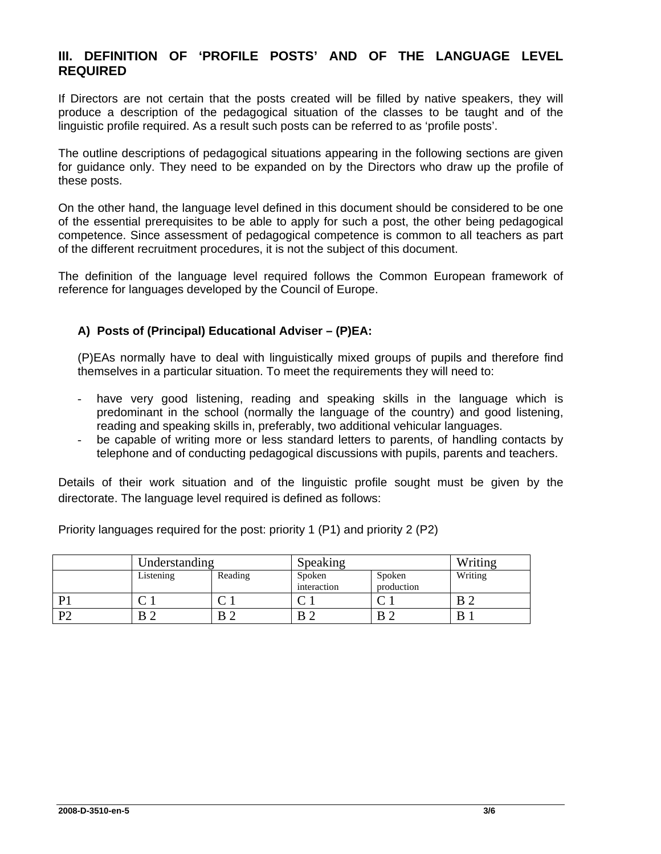#### **III. DEFINITION OF 'PROFILE POSTS' AND OF THE LANGUAGE LEVEL REQUIRED**

If Directors are not certain that the posts created will be filled by native speakers, they will produce a description of the pedagogical situation of the classes to be taught and of the linguistic profile required. As a result such posts can be referred to as 'profile posts'.

The outline descriptions of pedagogical situations appearing in the following sections are given for guidance only. They need to be expanded on by the Directors who draw up the profile of these posts.

On the other hand, the language level defined in this document should be considered to be one of the essential prerequisites to be able to apply for such a post, the other being pedagogical competence. Since assessment of pedagogical competence is common to all teachers as part of the different recruitment procedures, it is not the subject of this document.

The definition of the language level required follows the Common European framework of reference for languages developed by the Council of Europe.

#### **A) Posts of (Principal) Educational Adviser – (P)EA:**

(P)EAs normally have to deal with linguistically mixed groups of pupils and therefore find themselves in a particular situation. To meet the requirements they will need to:

- have very good listening, reading and speaking skills in the language which is predominant in the school (normally the language of the country) and good listening, reading and speaking skills in, preferably, two additional vehicular languages.
- be capable of writing more or less standard letters to parents, of handling contacts by telephone and of conducting pedagogical discussions with pupils, parents and teachers.

Details of their work situation and of the linguistic profile sought must be given by the directorate. The language level required is defined as follows:

Priority languages required for the post: priority 1 (P1) and priority 2 (P2)

|              | Understanding |         | Speaking              |                      | Writing |
|--------------|---------------|---------|-----------------------|----------------------|---------|
|              | Listening     | Reading | Spoken<br>interaction | Spoken<br>production | Writing |
| D            |               | ◡       | ◡                     | ◡ﯩ                   | В       |
| $\mathbf{D}$ | B 2           | B       |                       | ^ מ                  | B       |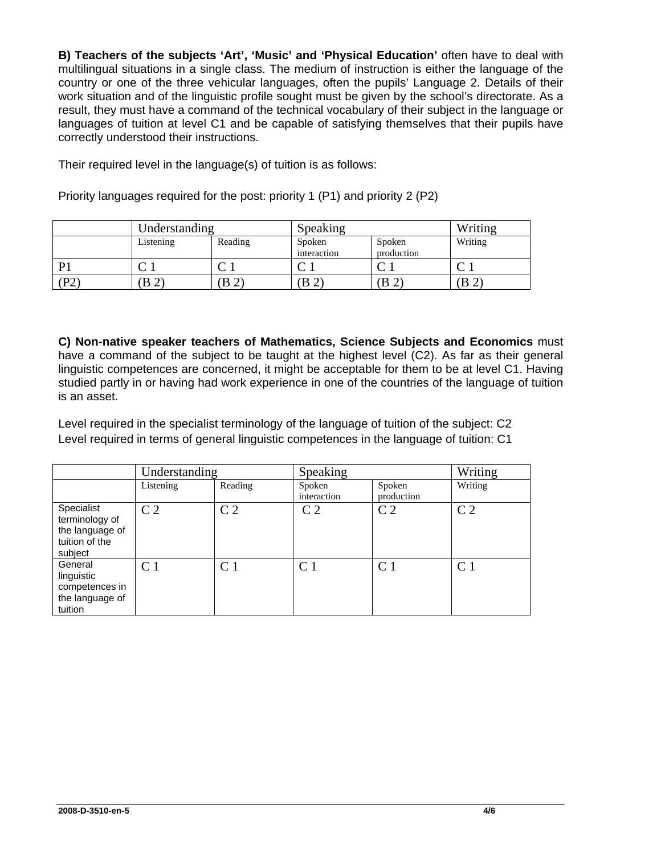**B) Teachers of the subjects 'Art', 'Music' and 'Physical Education'** often have to deal with multilingual situations in a single class. The medium of instruction is either the language of the country or one of the three vehicular languages, often the pupils' Language 2. Details of their work situation and of the linguistic profile sought must be given by the school's directorate. As a result, they must have a command of the technical vocabulary of their subject in the language or languages of tuition at level C1 and be capable of satisfying themselves that their pupils have correctly understood their instructions.

Their required level in the language(s) of tuition is as follows:

|    | Understanding                 |         | Speaking              |                      | Writing |
|----|-------------------------------|---------|-----------------------|----------------------|---------|
|    | Listening                     | Reading | Spoken<br>interaction | Spoken<br>production | Writing |
| D1 |                               |         |                       |                      |         |
| P2 | B<br>$\overline{\phantom{0}}$ | B(2)    | (B <sub>2</sub> )     | B                    | B       |

Priority languages required for the post: priority 1 (P1) and priority 2 (P2)

**C) Non-native speaker teachers of Mathematics, Science Subjects and Economics** must have a command of the subject to be taught at the highest level (C2). As far as their general linguistic competences are concerned, it might be acceptable for them to be at level C1. Having studied partly in or having had work experience in one of the countries of the language of tuition is an asset.

Level required in the specialist terminology of the language of tuition of the subject: C2 Level required in terms of general linguistic competences in the language of tuition: C1

|                                                                              | Understanding  |                | Speaking              |                      | Writing        |
|------------------------------------------------------------------------------|----------------|----------------|-----------------------|----------------------|----------------|
|                                                                              | Listening      | Reading        | Spoken<br>interaction | Spoken<br>production | Writing        |
| Specialist<br>terminology of<br>the language of<br>tuition of the<br>subject | C <sub>2</sub> | C <sub>2</sub> | C <sub>2</sub>        | C <sub>2</sub>       | C <sub>2</sub> |
| General<br>linguistic<br>competences in<br>the language of<br>tuition        | C <sub>1</sub> | C <sub>1</sub> | C <sub>1</sub>        | C <sub>1</sub>       | C <sub>1</sub> |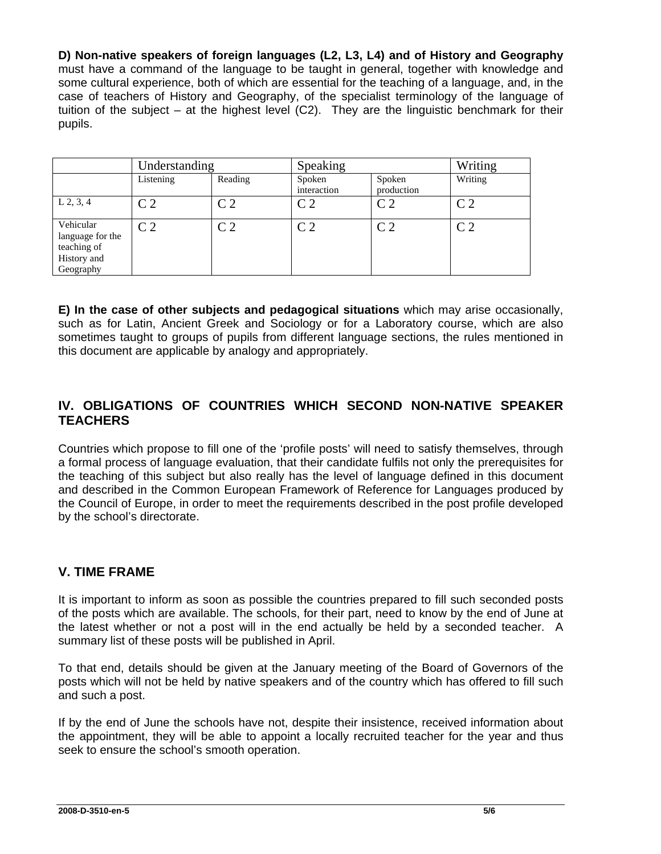**D) Non-native speakers of foreign languages (L2, L3, L4) and of History and Geography** must have a command of the language to be taught in general, together with knowledge and some cultural experience, both of which are essential for the teaching of a language, and, in the case of teachers of History and Geography, of the specialist terminology of the language of tuition of the subject – at the highest level (C2). They are the linguistic benchmark for their pupils.

|                                                                          | Understanding  |                | Speaking              |                      | Writing        |
|--------------------------------------------------------------------------|----------------|----------------|-----------------------|----------------------|----------------|
|                                                                          | Listening      | Reading        | Spoken<br>interaction | Spoken<br>production | Writing        |
| $L$ 2, 3, 4                                                              | C <sub>2</sub> | C <sub>2</sub> | C <sub>2</sub>        | C <sub>2</sub>       | C <sub>2</sub> |
| Vehicular<br>language for the<br>teaching of<br>History and<br>Geography | C <sub>2</sub> | C <sub>2</sub> | C <sub>2</sub>        | C <sub>2</sub>       | C <sub>2</sub> |

**E) In the case of other subjects and pedagogical situations** which may arise occasionally, such as for Latin, Ancient Greek and Sociology or for a Laboratory course, which are also sometimes taught to groups of pupils from different language sections, the rules mentioned in this document are applicable by analogy and appropriately.

## **IV. OBLIGATIONS OF COUNTRIES WHICH SECOND NON-NATIVE SPEAKER TEACHERS**

Countries which propose to fill one of the 'profile posts' will need to satisfy themselves, through a formal process of language evaluation, that their candidate fulfils not only the prerequisites for the teaching of this subject but also really has the level of language defined in this document and described in the Common European Framework of Reference for Languages produced by the Council of Europe, in order to meet the requirements described in the post profile developed by the school's directorate.

#### **V. TIME FRAME**

It is important to inform as soon as possible the countries prepared to fill such seconded posts of the posts which are available. The schools, for their part, need to know by the end of June at the latest whether or not a post will in the end actually be held by a seconded teacher. A summary list of these posts will be published in April.

To that end, details should be given at the January meeting of the Board of Governors of the posts which will not be held by native speakers and of the country which has offered to fill such and such a post.

If by the end of June the schools have not, despite their insistence, received information about the appointment, they will be able to appoint a locally recruited teacher for the year and thus seek to ensure the school's smooth operation.